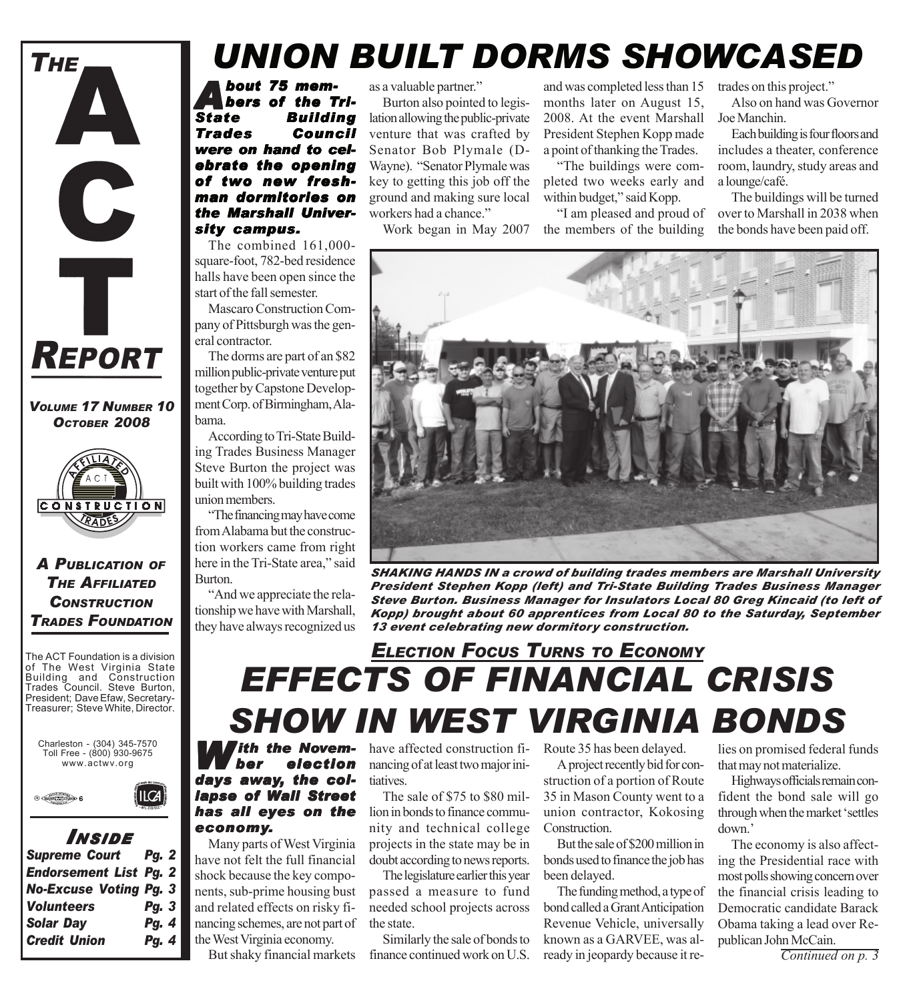

*VOLUME 17 NUMBER 10 OCTOBER 2008*



*A PUBLICATION OF THE AFFILIATED CONSTRUCTION TRADES FOUNDATION*

The ACT Foundation is a division of The West Virginia State Building and Construction Trades Council. Steve Burton, President; Dave Efaw, Secretary-Treasurer; Steve White, Director.





*I NSIDE Supreme Court Pg. 2 Endorsement List Pg. 2 No-Excuse Voting Pg. 3*

### *Volunteers Pg. 3 Solar Day Pg. 4 Credit Union Pg. 4*

## *UNION BUILT DORMS SHOWCASED*

*About 75 mem- bout 75 mem-bers of the Tri-State Building Trades Council ades Council* were on hand to cel*ebrate the opening of two new fresh- of new freshman dormitories on* **the Marshall Univer***sity campus. sity campus.*

The combined 161,000 square-foot, 782-bed residence halls have been open since the start of the fall semester.

Mascaro Construction Company of Pittsburgh was the general contractor.

The dorms are part of an \$82 million public-private venture put together by Capstone Development Corp. of Birmingham, Alabama.

According to Tri-State Building Trades Business Manager Steve Burton the project was built with 100% building trades union members.

"The financing may have come from Alabama but the construction workers came from right here in the Tri-State area," said Burton.

"And we appreciate the relationship we have with Marshall, they have always recognized us as a valuable partner."

Burton also pointed to legislation allowing the public-private venture that was crafted by Senator Bob Plymale (D-Wayne). "Senator Plymale was key to getting this job off the ground and making sure local workers had a chance."

Work began in May 2007

and was completed less than 15 months later on August 15, 2008. At the event Marshall President Stephen Kopp made a point of thanking the Trades.

"The buildings were completed two weeks early and within budget," said Kopp.

"I am pleased and proud of the members of the building

trades on this project."

Also on hand was Governor Joe Manchin.

Each building is four floors and includes a theater, conference room, laundry, study areas and a lounge/café.

The buildings will be turned over to Marshall in 2038 when the bonds have been paid off.



*SHAKING HANDS IN a crowd of building trades members are Marshall University President Stephen Kopp (left) and Tri-State Building Trades Business Manager Steve Burton. Business Manager for Insulators Local 80 Greg Kincaid (to left of Kopp) brought about 60 apprentices from Local 80 to the Saturday, September 13 event celebrating new dormitory construction.*

## *EFFECTS OF FINANCIAL CRISIS SHOW IN WEST VIRGINIA BONDS ELECTION FOCUS TURNS TO ECONOMY*

*ith the November election* days away, the col*lapse of Wall Street has all eyes on the economy.*

Many parts of West Virginia have not felt the full financial shock because the key components, sub-prime housing bust and related effects on risky financing schemes, are not part of the West Virginia economy.

have affected construction financing of at least two major initiatives.

The sale of \$75 to \$80 million in bonds to finance community and technical college projects in the state may be in doubt according to news reports.

The legislature earlier this year passed a measure to fund needed school projects across the state.

Similarly the sale of bonds to finance continued work on U.S. Route 35 has been delayed.

A project recently bid for construction of a portion of Route 35 in Mason County went to a union contractor, Kokosing Construction.

But the sale of \$200 million in bonds used to finance the job has been delayed.

But shaky financial markets finance continued work on U.S. ready in jeopardy because it re-<br>
Continued on p. 3 The funding method, a type of bond called a Grant Anticipation Revenue Vehicle, universally known as a GARVEE, was al-

lies on promised federal funds that may not materialize.

Highways officials remain confident the bond sale will go through when the market 'settles down.'

The economy is also affecting the Presidential race with most polls showing concern over the financial crisis leading to Democratic candidate Barack Obama taking a lead over Republican John McCain.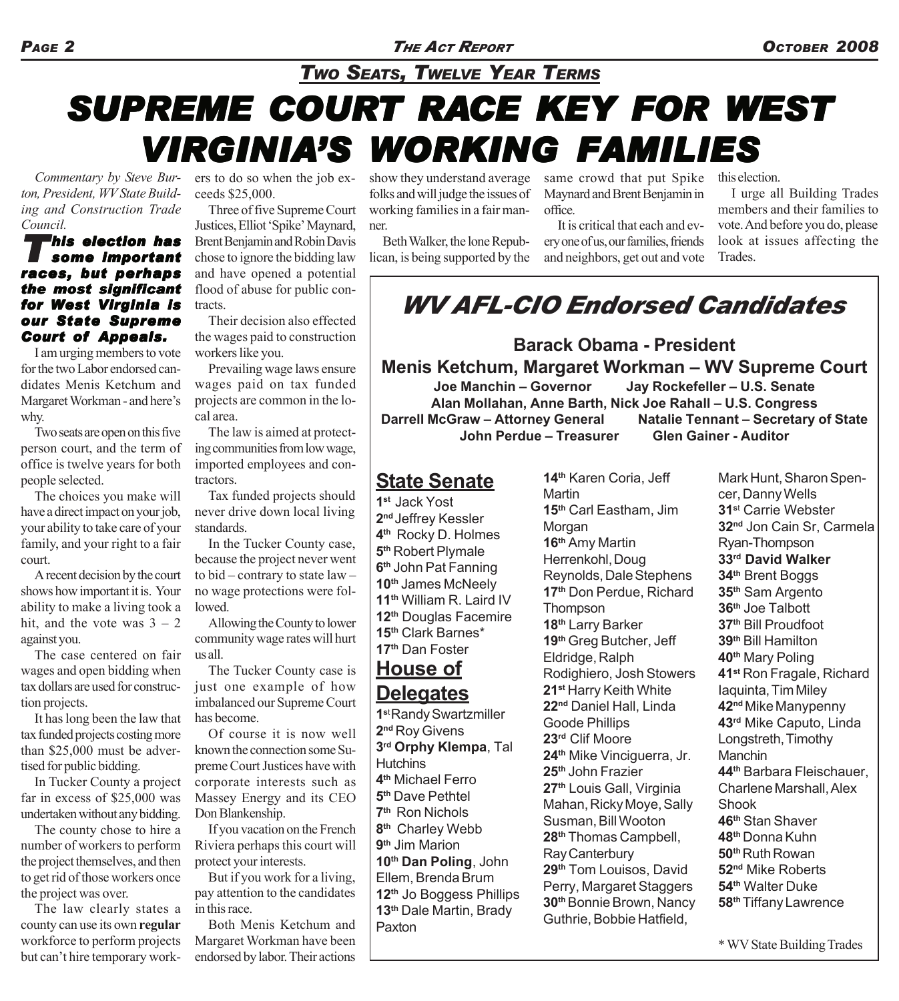### *TWO SEATS, TWELVE YEAR TERMS*

# **SUPREME COURT RACE KEY FOR WEST** *VIRGINIA'S WORKING FAMILIES WORKING FAMILIES*

*Commentary by Steve Burton, President, WV State Building and Construction Trade Council.*

#### *This election has some important races, but perhaps the most significant for West Virginia is our State Supreme Court of Appeals.*

I am urging members to vote for the two Labor endorsed candidates Menis Ketchum and Margaret Workman - and here's why.

Two seats are open on this five person court, and the term of office is twelve years for both people selected.

The choices you make will have a direct impact on your job, your ability to take care of your family, and your right to a fair court.

A recent decision by the court shows how important it is. Your ability to make a living took a hit, and the vote was  $3 - 2$ against you.

The case centered on fair wages and open bidding when tax dollars are used for construction projects.

It has long been the law that tax funded projects costing more than \$25,000 must be advertised for public bidding.

In Tucker County a project far in excess of \$25,000 was undertaken without any bidding.

The county chose to hire a number of workers to perform the project themselves, and then to get rid of those workers once the project was over.

The law clearly states a county can use its own **regular** workforce to perform projects but can't hire temporary work-

ers to do so when the job exceeds \$25,000.

Three of five Supreme Court Justices, Elliot 'Spike' Maynard, Brent Benjamin and Robin Davis chose to ignore the bidding law and have opened a potential flood of abuse for public contracts.

Their decision also effected the wages paid to construction workers like you.

Prevailing wage laws ensure wages paid on tax funded projects are common in the local area.

The law is aimed at protecting communities from low wage, imported employees and contractors.

Tax funded projects should never drive down local living standards.

In the Tucker County case, because the project never went to bid – contrary to state law – no wage protections were followed.

Allowing the County to lower community wage rates will hurt us all.

The Tucker County case is just one example of how imbalanced our Supreme Court has become.

Of course it is now well known the connection some Supreme Court Justices have with corporate interests such as Massey Energy and its CEO Don Blankenship.

If you vacation on the French Riviera perhaps this court will protect your interests.

But if you work for a living, pay attention to the candidates in this race.

Both Menis Ketchum and Margaret Workman have been endorsed by labor. Their actions show they understand average folks and will judge the issues of working families in a fair manner.

Beth Walker, the lone Republican, is being supported by the same crowd that put Spike Maynard and Brent Benjamin in office.

It is critical that each and every one of us, our families, friends and neighbors, get out and vote this election.

I urge all Building Trades members and their families to vote. And before you do, please look at issues affecting the Trades.

## *WV AFL-CIO Endorsed Candidates*

**Barack Obama - President Menis Ketchum, Margaret Workman – WV Supreme Court**

**Joe Manchin – Governor Jay Rockefeller – U.S. Senate Alan Mollahan, Anne Barth, Nick Joe Rahall – U.S. Congress Darrell McGraw – Attorney General Natalie Tennant – Secretary of State John Perdue – Treasurer Glen Gainer - Auditor**

### **State Senate**

**1st** Jack Yost **2nd** Jeffrey Kessler **4th** Rocky D. Holmes **5th** Robert Plymale **6th** John Pat Fanning **10th** James McNeely **11th** William R. Laird IV **12th** Douglas Facemire **15th** Clark Barnes\* **17th** Dan Foster

### **House of Delegates**

**1s**t Randy Swartzmiller **2nd** Roy Givens **3rd Orphy Klempa**, Tal **Hutchins 4th** Michael Ferro **5th** Dave Pethtel **7th** Ron Nichols **8th** Charley Webb **9th** Jim Marion **10th Dan Poling**, John Ellem, Brenda Brum **12th** Jo Boggess Phillips **13th** Dale Martin, Brady Paxton

**14th** Karen Coria, Jeff **Martin 15th** Carl Eastham, Jim **Morgan 16th** Amy Martin Herrenkohl, Doug Reynolds, Dale Stephens **17th** Don Perdue, Richard **Thompson 18th** Larry Barker **19th** Greg Butcher, Jeff Eldridge, Ralph Rodighiero, Josh Stowers **21st** Harry Keith White **22nd** Daniel Hall, Linda Goode Phillips **23rd** Clif Moore **24th** Mike Vinciguerra, Jr. **25th** John Frazier **27th** Louis Gall, Virginia Mahan, Ricky Moye, Sally Susman, Bill Wooton **28th** Thomas Campbell, Ray Canterbury **29th** Tom Louisos, David Perry, Margaret Staggers **30th** Bonnie Brown, Nancy Guthrie, Bobbie Hatfield,

Mark Hunt, Sharon Spencer, Danny Wells **31s**<sup>t</sup> Carrie Webster **32nd** Jon Cain Sr, Carmela Ryan-Thompson **33rd David Walker 34th** Brent Boggs **35th** Sam Argento **36th** Joe Talbott **37th** Bill Proudfoot **39th** Bill Hamilton **40th** Mary Poling **41st** Ron Fragale, Richard Iaquinta, Tim Miley **42nd** Mike Manypenny **43rd** Mike Caputo, Linda Longstreth, Timothy **Manchin 44th** Barbara Fleischauer, Charlene Marshall, Alex **Shook 46th** Stan Shaver **48th** Donna Kuhn **50th** Ruth Rowan **52nd** Mike Roberts **54th** Walter Duke **58th** Tiffany Lawrence

\* WV State Building Trades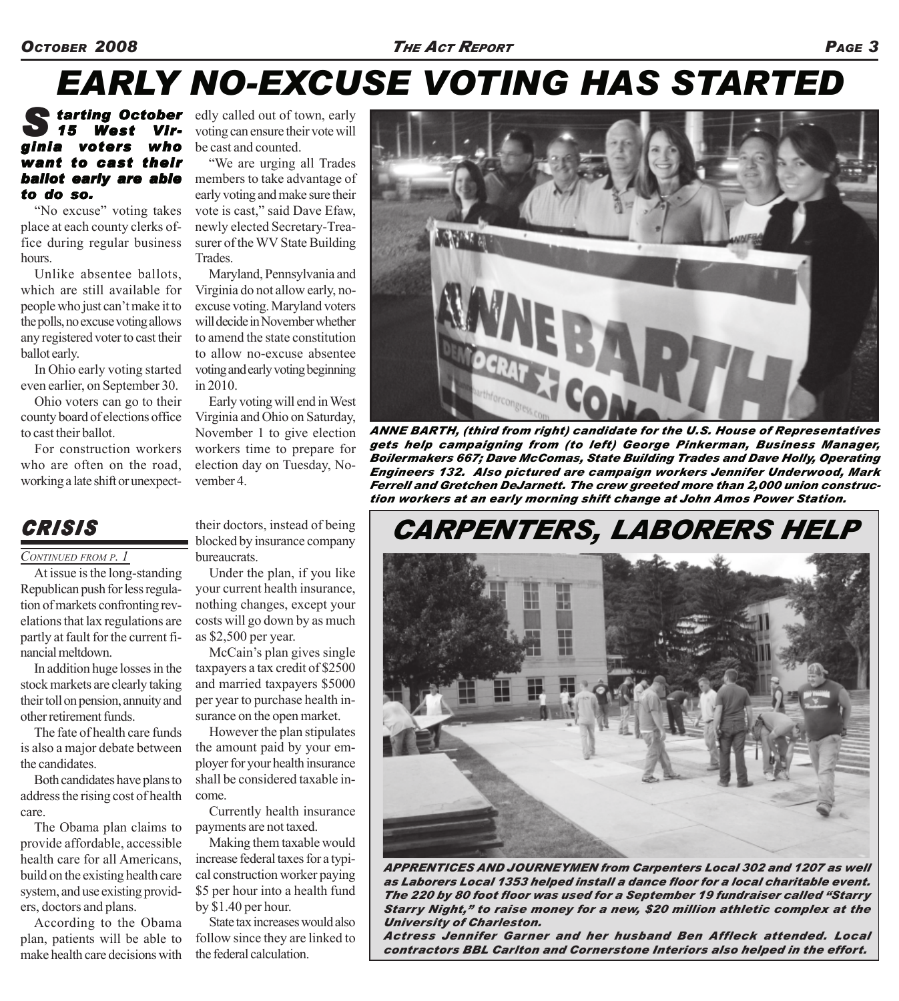### *OCTOBER 2008 THE ACT REPORT PAGE 3*

## *EARLY NO-EXCUSE VOTING HAS STARTED*

### **S farting October** edly called out of town, early **15 West Vir-** voting can ensure their vote will *15 West Vir- West Virginia voters who want to cast their ballot early are able to do so. to do*

"No excuse" voting takes place at each county clerks office during regular business hours.

Unlike absentee ballots, which are still available for people who just can't make it to the polls, no excuse voting allows any registered voter to cast their ballot early.

In Ohio early voting started even earlier, on September 30.

Ohio voters can go to their county board of elections office to cast their ballot.

For construction workers who are often on the road. working a late shift or unexpectvoting can ensure their vote will be cast and counted.

"We are urging all Trades members to take advantage of early voting and make sure their vote is cast," said Dave Efaw, newly elected Secretary-Treasurer of the WV State Building Trades.

Maryland, Pennsylvania and Virginia do not allow early, noexcuse voting. Maryland voters will decide in November whether to amend the state constitution to allow no-excuse absentee voting and early voting beginning in 2010.

Early voting will end in West Virginia and Ohio on Saturday, November 1 to give election workers time to prepare for election day on Tuesday, November 4.

### *CRISIS*

#### *CONTINUED FROM P. 1*

At issue is the long-standing Republican push for less regulation of markets confronting revelations that lax regulations are partly at fault for the current financial meltdown.

In addition huge losses in the stock markets are clearly taking their toll on pension, annuity and other retirement funds.

The fate of health care funds is also a major debate between the candidates.

Both candidates have plans to address the rising cost of health care.

The Obama plan claims to provide affordable, accessible health care for all Americans, build on the existing health care system, and use existing providers, doctors and plans.

According to the Obama plan, patients will be able to make health care decisions with their doctors, instead of being blocked by insurance company bureaucrats.

Under the plan, if you like your current health insurance, nothing changes, except your costs will go down by as much as \$2,500 per year.

McCain's plan gives single taxpayers a tax credit of \$2500 and married taxpayers \$5000 per year to purchase health insurance on the open market.

However the plan stipulates the amount paid by your employer for your health insurance shall be considered taxable income.

Currently health insurance payments are not taxed.

Making them taxable would increase federal taxes for a typical construction worker paying \$5 per hour into a health fund by \$1.40 per hour.

State tax increases would also follow since they are linked to the federal calculation.



*ANNE BARTH, (third from right) candidate for the U.S. House of Representatives gets help campaigning from (to left) George Pinkerman, Business Manager, Boilermakers 667; Dave McComas, State Building Trades and Dave Holly, Operating Engineers 132. Also pictured are campaign workers Jennifer Underwood, Mark Ferrell and Gretchen DeJarnett. The crew greeted more than 2,000 union construction workers at an early morning shift change at John Amos Power Station.*

## *CARPENTERS, LABORERS HELP*



*APPRENTICES AND JOURNEYMEN from Carpenters Local 302 and 1207 as well as Laborers Local 1353 helped install a dance floor for a local charitable event. The 220 by 80 foot floor was used for a September 19 fundraiser called "Starry Starry Night," to raise money for a new, \$20 million athletic complex at the University of Charleston.*

*Actress Jennifer Garner and her husband Ben Affleck attended. Local contractors BBL Carlton and Cornerstone Interiors also helped in the effort.*